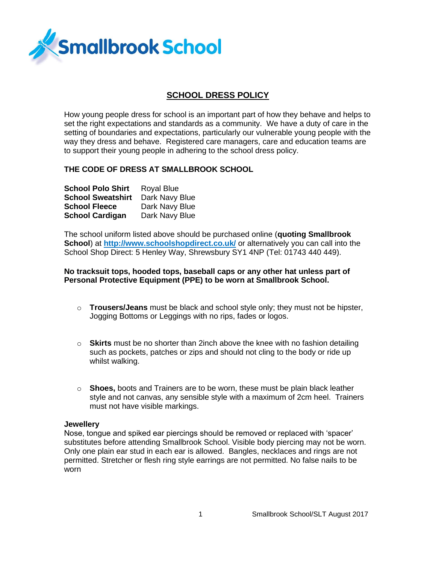

# **SCHOOL DRESS POLICY**

How young people dress for school is an important part of how they behave and helps to set the right expectations and standards as a community. We have a duty of care in the setting of boundaries and expectations, particularly our vulnerable young people with the way they dress and behave. Registered care managers, care and education teams are to support their young people in adhering to the school dress policy.

# **THE CODE OF DRESS AT SMALLBROOK SCHOOL**

| <b>School Polo Shirt</b> | <b>Royal Blue</b> |
|--------------------------|-------------------|
| <b>School Sweatshirt</b> | Dark Navy Blue    |
| <b>School Fleece</b>     | Dark Navy Blue    |
| <b>School Cardigan</b>   | Dark Navy Blue    |

The school uniform listed above should be purchased online (**quoting Smallbrook School**) at **<http://www.schoolshopdirect.co.uk/>** or alternatively you can call into the School Shop Direct: 5 Henley Way, Shrewsbury SY1 4NP (Tel: 01743 440 449).

# **No tracksuit tops, hooded tops, baseball caps or any other hat unless part of Personal Protective Equipment (PPE) to be worn at Smallbrook School.**

- o **Trousers/Jeans** must be black and school style only; they must not be hipster, Jogging Bottoms or Leggings with no rips, fades or logos.
- o **Skirts** must be no shorter than 2inch above the knee with no fashion detailing such as pockets, patches or zips and should not cling to the body or ride up whilst walking.
- o **Shoes,** boots and Trainers are to be worn, these must be plain black leather style and not canvas, any sensible style with a maximum of 2cm heel. Trainers must not have visible markings.

#### **Jewellery**

Nose, tongue and spiked ear piercings should be removed or replaced with 'spacer' substitutes before attending Smallbrook School. Visible body piercing may not be worn. Only one plain ear stud in each ear is allowed. Bangles, necklaces and rings are not permitted. Stretcher or flesh ring style earrings are not permitted. No false nails to be worn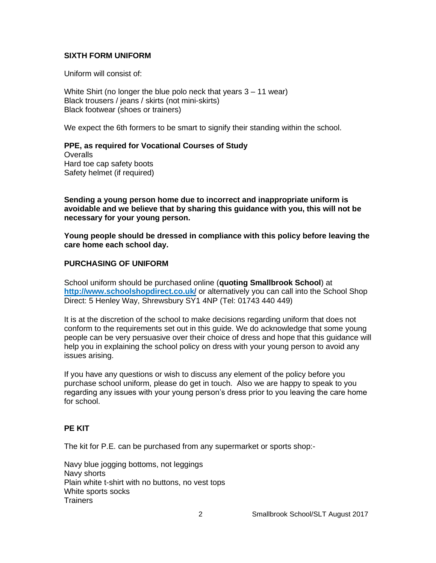# **SIXTH FORM UNIFORM**

Uniform will consist of:

White Shirt (no longer the blue polo neck that years 3 – 11 wear) Black trousers / jeans / skirts (not mini-skirts) Black footwear (shoes or trainers)

We expect the 6th formers to be smart to signify their standing within the school.

**PPE, as required for Vocational Courses of Study Overalls** Hard toe cap safety boots Safety helmet (if required)

**Sending a young person home due to incorrect and inappropriate uniform is avoidable and we believe that by sharing this guidance with you, this will not be necessary for your young person.**

**Young people should be dressed in compliance with this policy before leaving the care home each school day.**

# **PURCHASING OF UNIFORM**

School uniform should be purchased online (**quoting Smallbrook School**) at **<http://www.schoolshopdirect.co.uk/>** or alternatively you can call into the School Shop Direct: 5 Henley Way, Shrewsbury SY1 4NP (Tel: 01743 440 449)

It is at the discretion of the school to make decisions regarding uniform that does not conform to the requirements set out in this guide. We do acknowledge that some young people can be very persuasive over their choice of dress and hope that this guidance will help you in explaining the school policy on dress with your young person to avoid any issues arising.

If you have any questions or wish to discuss any element of the policy before you purchase school uniform, please do get in touch. Also we are happy to speak to you regarding any issues with your young person's dress prior to you leaving the care home for school.

### **PE KIT**

The kit for P.E. can be purchased from any supermarket or sports shop:-

Navy blue jogging bottoms, not leggings Navy shorts Plain white t-shirt with no buttons, no vest tops White sports socks Trainers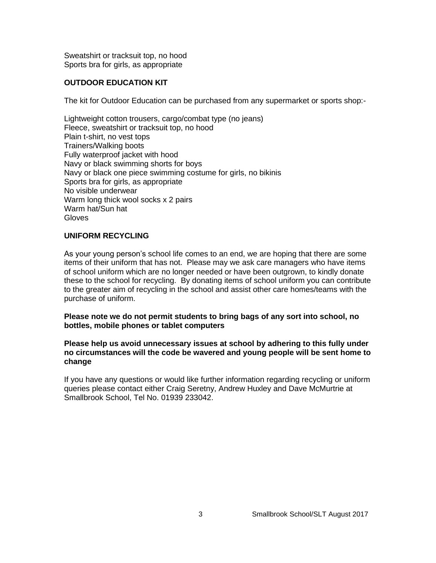Sweatshirt or tracksuit top, no hood Sports bra for girls, as appropriate

# **OUTDOOR EDUCATION KIT**

The kit for Outdoor Education can be purchased from any supermarket or sports shop:-

Lightweight cotton trousers, cargo/combat type (no jeans) Fleece, sweatshirt or tracksuit top, no hood Plain t-shirt, no vest tops Trainers/Walking boots Fully waterproof jacket with hood Navy or black swimming shorts for boys Navy or black one piece swimming costume for girls, no bikinis Sports bra for girls, as appropriate No visible underwear Warm long thick wool socks x 2 pairs Warm hat/Sun hat **Gloves** 

### **UNIFORM RECYCLING**

As your young person's school life comes to an end, we are hoping that there are some items of their uniform that has not. Please may we ask care managers who have items of school uniform which are no longer needed or have been outgrown, to kindly donate these to the school for recycling. By donating items of school uniform you can contribute to the greater aim of recycling in the school and assist other care homes/teams with the purchase of uniform.

**Please note we do not permit students to bring bags of any sort into school, no bottles, mobile phones or tablet computers**

### **Please help us avoid unnecessary issues at school by adhering to this fully under no circumstances will the code be wavered and young people will be sent home to change**

If you have any questions or would like further information regarding recycling or uniform queries please contact either Craig Seretny, Andrew Huxley and Dave McMurtrie at Smallbrook School, Tel No. 01939 233042.